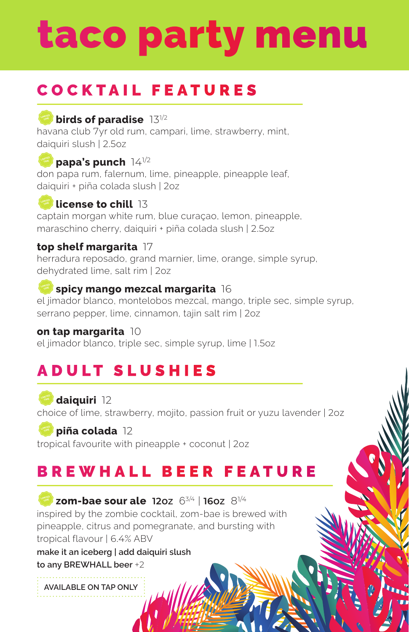# taco party menu

## COCKTAIL FEATURES

### **birds of paradise** 13<sup>1/2</sup>

havana club 7yr old rum, campari, lime, strawberry, mint, daiquiri slush | 2.5oz

### **Papa's punch 14<sup>1/2</sup>**

don papa rum, falernum, lime, pineapple, pineapple leaf, daiquiri + piña colada slush | 2oz

### **license to chill** 13

captain morgan white rum, blue curaçao, lemon, pineapple, maraschino cherry, daiquiri + piña colada slush | 2.5oz

### **top shelf margarita** 17

herradura reposado, grand marnier, lime, orange, simple syrup, dehydrated lime, salt rim | 2oz

### **spicy mango mezcal margarita** 16

el jimador blanco, montelobos mezcal, mango, triple sec, simple syrup, serrano pepper, lime, cinnamon, tajin salt rim | 2oz

#### **on tap margarita** 10

el jimador blanco, triple sec, simple syrup, lime | 1.5oz

## ADULT SLUSHIES

**daiquiri** 12 choice of lime, strawberry, mojito, passion fruit or yuzu lavender | 2oz

### **Piña colada** 12

tropical favourite with pineapple + coconut | 2oz

### BREWHALL BEER FEATURE

**zom-bae sour ale 12oz** 63/4 | **16oz** 81/4 inspired by the zombie cocktail, zom-bae is brewed with pineapple, citrus and pomegranate, and bursting with tropical flavour | 6.4% ABV

**make it an iceberg | add daiquiri slush to any BREWHALL beer** +2

**AVAILABLE ON TAP ONLY**